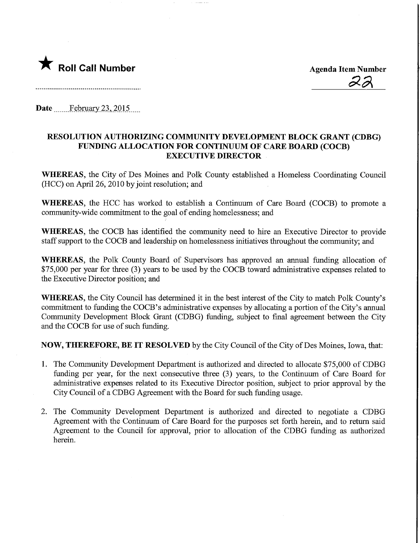

22

Date ........Febmary.23,.2015.

이 사이트 STATE ASSAULT AND A STATE AND A STATE AND A STATE AND A STATE AND A STATE AND A STATE AND A STATE OF A

## RESOLUTION AUTHORIZING COMMUNITY DEVELOPMENT BLOCK GRANT (CDBG) FUNDING ALLOCATION FOR CONTINUUM OF CARE BOARD (COCB) **EXECUTIVE DIRECTOR**

WHEREAS, the City of Des Moines and Polk County established a Homeless Coordinating Council (HCC) on April 26, 2010 by joint resolution; and

WHEREAS, the HCC has worked to establish a Continuum of Care Board (COCB) to promote a community-wide commitment to the goal of ending homelessness; and

WHEREAS, the COCB has identified the community need to hire an Executive Director to provide staff support to the COCB and leadership on homelessness initiatives throughout the community; and

WHEREAS, the Polk County Board of Supervisors has approved an annual funding allocation of \$75,000 per year for three (3) years to be used by the COCB toward administrative expenses related to the Executive Director position; and

WHEREAS, the City Council has determined it in the best interest of the City to match Polk County's commitment to funding the COCB's administrative expenses by allocating a portion of the City's annual Community Development Block Grant (CDBG) funding, subject to final agreement between the City and the COCB for use of such funding.

NOW, THEREFORE, BE IT RESOLVED by the City Council of the City of Des Moines, Iowa, that:

- 1. The Community Development Department is authorized and directed to allocate \$75,000 of CDBG funding per year, for the next consecutive three (3) years, to the Continuum of Care Board for administrative expenses related to its Executive Director position, subject to prior approval by the City Council of a CDBG Agreement with the Board for such funding usage.
- 2. The Community Development Department is authorized and directed to negotiate a CDBG Agreement with the Continuum of Care Board for the purposes set forth herein, and to return said Agreement to the Council for approval, prior to allocation of the CDBG funding as authorized herein.